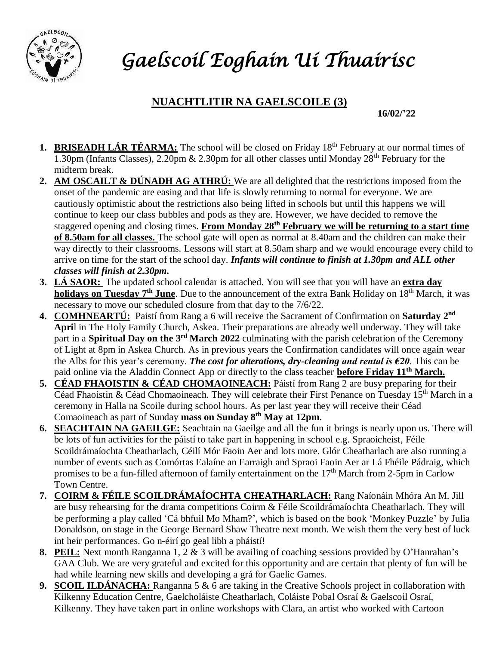

## *Gaelscoil Eoghain Uí Thuairisc*

## **NUACHTLITIR NA GAELSCOILE (3)**

**16/02/'22**

- **1. BRISEADH LÁR TÉARMA:** The school will be closed on Friday 18<sup>th</sup> February at our normal times of 1.30pm (Infants Classes), 2.20pm & 2.30pm for all other classes until Monday 28th February for the midterm break.
- **2. AM OSCAILT & DÚNADH AG ATHRÚ:** We are all delighted that the restrictions imposed from the onset of the pandemic are easing and that life is slowly returning to normal for everyone. We are cautiously optimistic about the restrictions also being lifted in schools but until this happens we will continue to keep our class bubbles and pods as they are. However, we have decided to remove the staggered opening and closing times. **From Monday 28th February we will be returning to a start time of 8.50am for all classes.** The school gate will open as normal at 8.40am and the children can make their way directly to their classrooms. Lessons will start at 8.50am sharp and we would encourage every child to arrive on time for the start of the school day. *Infants will continue to finish at 1.30pm and ALL other classes will finish at 2.30pm.*
- **3. LÁ SAOR:** The updated school calendar is attached. You will see that you will have an **extra day holidays on Tuesday 7<sup>th</sup> June**. Due to the announcement of the extra Bank Holiday on 18<sup>th</sup> March, it was necessary to move our scheduled closure from that day to the 7/6/22.
- **4. COMHNEARTÚ:** Paistí from Rang a 6 will receive the Sacrament of Confirmation on **Saturday 2 nd Apri**l in The Holy Family Church, Askea. Their preparations are already well underway. They will take part in a **Spiritual Day on the 3<sup>rd</sup> March 2022** culminating with the parish celebration of the Ceremony of Light at 8pm in Askea Church. As in previous years the Confirmation candidates will once again wear the Albs for this year's ceremony. *The cost for alterations, dry-cleaning and rental is €20*. This can be paid online via the Aladdin Connect App or directly to the class teacher **before Friday 11th March.**
- **5. CÉAD FHAOISTIN & CÉAD CHOMAOINEACH:** Páistí from Rang 2 are busy preparing for their Céad Fhaoistin & Céad Chomaoineach. They will celebrate their First Penance on Tuesday 15<sup>th</sup> March in a ceremony in Halla na Scoile during school hours. As per last year they will receive their Céad Comaoineach as part of Sunday **mass on Sunday 8th May at 12pm**.
- **6. SEACHTAIN NA GAEILGE:** Seachtain na Gaeilge and all the fun it brings is nearly upon us. There will be lots of fun activities for the páistí to take part in happening in school e.g. Spraoicheist, Féile Scoildrámaíochta Cheatharlach, Céilí Mór Faoin Aer and lots more. Glór Cheatharlach are also running a number of events such as Comórtas Ealaíne an Earraigh and Spraoi Faoin Aer ar Lá Fhéile Pádraig, which promises to be a fun-filled afternoon of family entertainment on the 17<sup>th</sup> March from 2-5pm in Carlow Town Centre.
- **7. COIRM & FÉILE SCOILDRÁMAÍOCHTA CHEATHARLACH:** Rang Naíonáin Mhóra An M. Jill are busy rehearsing for the drama competitions Coirm & Féile Scoildrámaíochta Cheatharlach. They will be performing a play called 'Cá bhfuil Mo Mham?', which is based on the book 'Monkey Puzzle' by Julia Donaldson, on stage in the George Bernard Shaw Theatre next month. We wish them the very best of luck int heir performances. Go n-éirí go geal libh a pháistí!
- **8. PEIL:** Next month Ranganna 1, 2 & 3 will be availing of coaching sessions provided by O'Hanrahan's GAA Club. We are very grateful and excited for this opportunity and are certain that plenty of fun will be had while learning new skills and developing a grá for Gaelic Games.
- **9. SCOIL ILDÁNACHA:** Ranganna 5 & 6 are taking in the Creative Schools project in collaboration with Kilkenny Education Centre, Gaelcholáiste Cheatharlach, Coláiste Pobal Osraí & Gaelscoil Osraí, Kilkenny. They have taken part in online workshops with Clara, an artist who worked with Cartoon